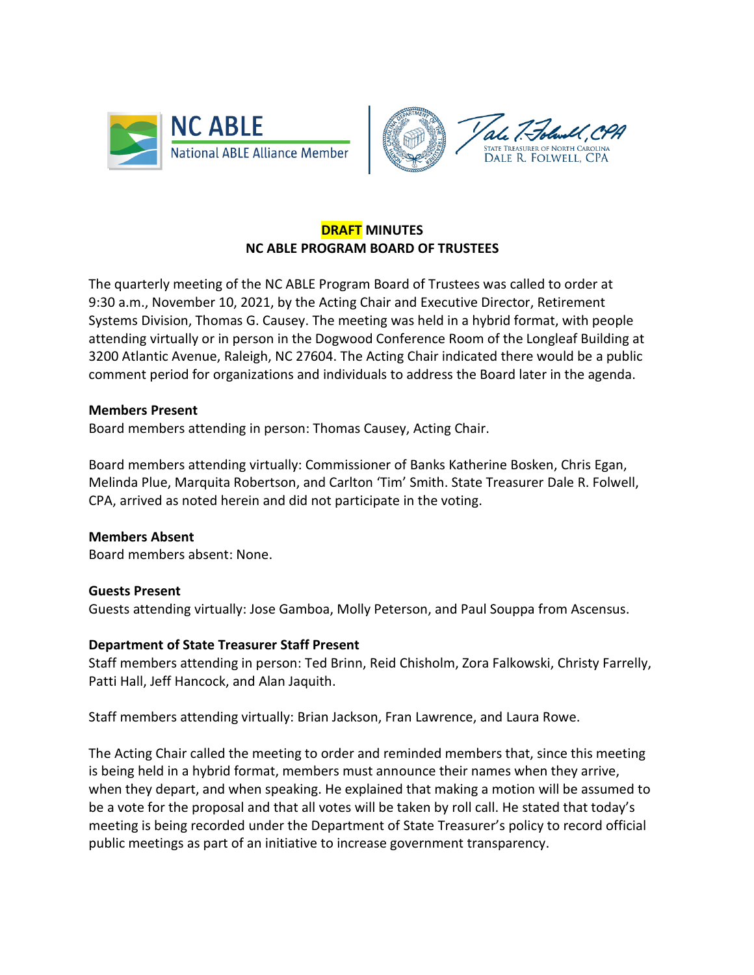



# **DRAFT MINUTES NC ABLE PROGRAM BOARD OF TRUSTEES**

The quarterly meeting of the NC ABLE Program Board of Trustees was called to order at 9:30 a.m., November 10, 2021, by the Acting Chair and Executive Director, Retirement Systems Division, Thomas G. Causey. The meeting was held in a hybrid format, with people attending virtually or in person in the Dogwood Conference Room of the Longleaf Building at 3200 Atlantic Avenue, Raleigh, NC 27604. The Acting Chair indicated there would be a public comment period for organizations and individuals to address the Board later in the agenda.

#### **Members Present**

Board members attending in person: Thomas Causey, Acting Chair.

Board members attending virtually: Commissioner of Banks Katherine Bosken, Chris Egan, Melinda Plue, Marquita Robertson, and Carlton 'Tim' Smith. State Treasurer Dale R. Folwell, CPA, arrived as noted herein and did not participate in the voting.

## **Members Absent**

Board members absent: None.

#### **Guests Present**

Guests attending virtually: Jose Gamboa, Molly Peterson, and Paul Souppa from Ascensus.

## **Department of State Treasurer Staff Present**

Staff members attending in person: Ted Brinn, Reid Chisholm, Zora Falkowski, Christy Farrelly, Patti Hall, Jeff Hancock, and Alan Jaquith.

Staff members attending virtually: Brian Jackson, Fran Lawrence, and Laura Rowe.

The Acting Chair called the meeting to order and reminded members that, since this meeting is being held in a hybrid format, members must announce their names when they arrive, when they depart, and when speaking. He explained that making a motion will be assumed to be a vote for the proposal and that all votes will be taken by roll call. He stated that today's meeting is being recorded under the Department of State Treasurer's policy to record official public meetings as part of an initiative to increase government transparency.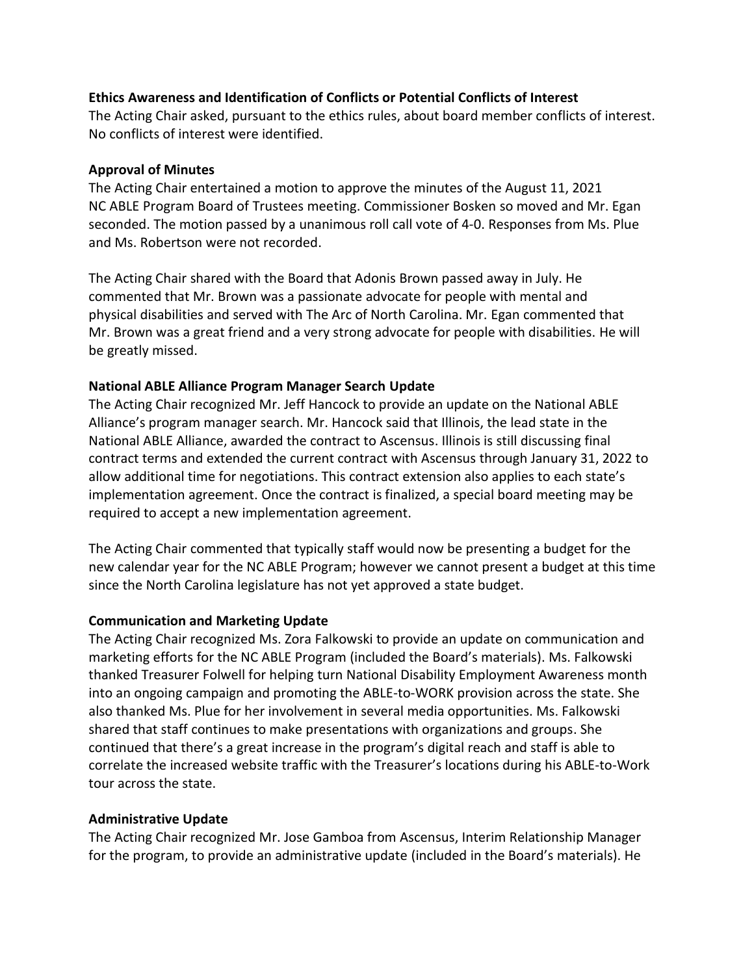### **Ethics Awareness and Identification of Conflicts or Potential Conflicts of Interest**

The Acting Chair asked, pursuant to the ethics rules, about board member conflicts of interest. No conflicts of interest were identified.

### **Approval of Minutes**

The Acting Chair entertained a motion to approve the minutes of the August 11, 2021 NC ABLE Program Board of Trustees meeting. Commissioner Bosken so moved and Mr. Egan seconded. The motion passed by a unanimous roll call vote of 4-0. Responses from Ms. Plue and Ms. Robertson were not recorded.

The Acting Chair shared with the Board that Adonis Brown passed away in July. He commented that Mr. Brown was a passionate advocate for people with mental and physical disabilities and served with The Arc of North Carolina. Mr. Egan commented that Mr. Brown was a great friend and a very strong advocate for people with disabilities. He will be greatly missed.

### **National ABLE Alliance Program Manager Search Update**

The Acting Chair recognized Mr. Jeff Hancock to provide an update on the National ABLE Alliance's program manager search. Mr. Hancock said that Illinois, the lead state in the National ABLE Alliance, awarded the contract to Ascensus. Illinois is still discussing final contract terms and extended the current contract with Ascensus through January 31, 2022 to allow additional time for negotiations. This contract extension also applies to each state's implementation agreement. Once the contract is finalized, a special board meeting may be required to accept a new implementation agreement.

The Acting Chair commented that typically staff would now be presenting a budget for the new calendar year for the NC ABLE Program; however we cannot present a budget at this time since the North Carolina legislature has not yet approved a state budget.

#### **Communication and Marketing Update**

The Acting Chair recognized Ms. Zora Falkowski to provide an update on communication and marketing efforts for the NC ABLE Program (included the Board's materials). Ms. Falkowski thanked Treasurer Folwell for helping turn National Disability Employment Awareness month into an ongoing campaign and promoting the ABLE-to-WORK provision across the state. She also thanked Ms. Plue for her involvement in several media opportunities. Ms. Falkowski shared that staff continues to make presentations with organizations and groups. She continued that there's a great increase in the program's digital reach and staff is able to correlate the increased website traffic with the Treasurer's locations during his ABLE-to-Work tour across the state.

## **Administrative Update**

The Acting Chair recognized Mr. Jose Gamboa from Ascensus, Interim Relationship Manager for the program, to provide an administrative update (included in the Board's materials). He